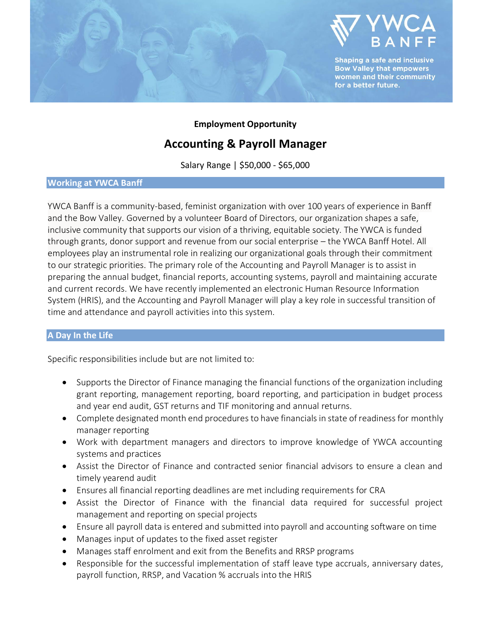

**Employment Opportunity**

# **Accounting & Payroll Manager**

Salary Range | \$50,000 - \$65,000

### **Working at YWCA Banff**

YWCA Banff is a community-based, feminist organization with over 100 years of experience in Banff and the Bow Valley. Governed by a volunteer Board of Directors, our organization shapes a safe, inclusive community that supports our vision of a thriving, equitable society. The YWCA is funded through grants, donor support and revenue from our social enterprise – the YWCA Banff Hotel. All employees play an instrumental role in realizing our organizational goals through their commitment to our strategic priorities. The primary role of the Accounting and Payroll Manager is to assist in preparing the annual budget, financial reports, accounting systems, payroll and maintaining accurate and current records. We have recently implemented an electronic Human Resource Information System (HRIS), and the Accounting and Payroll Manager will play a key role in successful transition of time and attendance and payroll activities into this system.

## **A Day In the Life**

Specific responsibilities include but are not limited to:

- Supports the Director of Finance managing the financial functions of the organization including grant reporting, management reporting, board reporting, and participation in budget process and year end audit, GST returns and TIF monitoring and annual returns.
- Complete designated month end procedures to have financials in state of readiness for monthly manager reporting
- Work with department managers and directors to improve knowledge of YWCA accounting systems and practices
- Assist the Director of Finance and contracted senior financial advisors to ensure a clean and timely yearend audit
- Ensures all financial reporting deadlines are met including requirements for CRA
- Assist the Director of Finance with the financial data required for successful project management and reporting on special projects
- Ensure all payroll data is entered and submitted into payroll and accounting software on time
- Manages input of updates to the fixed asset register
- Manages staff enrolment and exit from the Benefits and RRSP programs
- Responsible for the successful implementation of staff leave type accruals, anniversary dates, payroll function, RRSP, and Vacation % accruals into the HRIS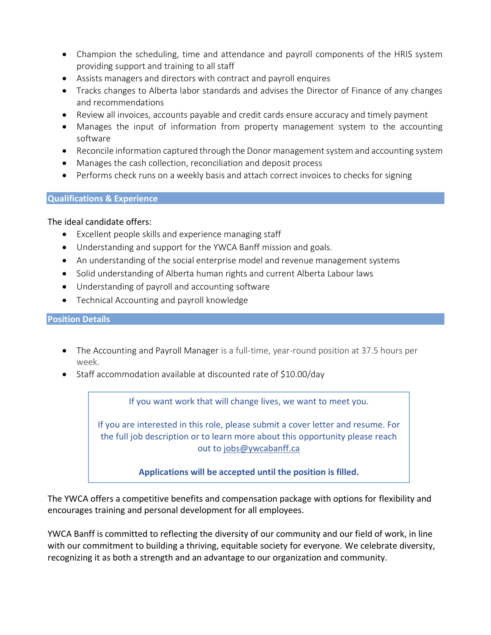- Champion the scheduling, time and attendance and payroll components of the HRIS system providing support and training to all staff
- Assists managers and directors with contract and payroll enquires
- Tracks changes to Alberta labor standards and advises the Director of Finance of any changes and recommendations
- Review all invoices, accounts payable and credit cards ensure accuracy and timely payment
- Manages the input of information from property management system to the accounting software
- Reconcile information captured through the Donor management system and accounting system
- Manages the cash collection, reconciliation and deposit process
- Performs check runs on a weekly basis and attach correct invoices to checks for signing

## **Qualifications & Experience**

## The ideal candidate offers:

- Excellent people skills and experience managing staff
- Understanding and support for the YWCA Banff mission and goals.
- An understanding of the social enterprise model and revenue management systems
- Solid understanding of Alberta human rights and current Alberta Labour laws
- Understanding of payroll and accounting software
- Technical Accounting and payroll knowledge

## **Position Details**

- The Accounting and Payroll Manager is a full-time, year-round position at 37.5 hours per week.
- Staff accommodation available at discounted rate of \$10.00/day

If you want work that will change lives, we want to meet you.

If you are interested in this role, please submit a cover letter and resume. For the full job description or to learn more about this opportunity please reach out to [jobs@ywcabanff.ca](mailto:jobs@ywcabanff.ca)

**Applications will be accepted until the position is filled.**

The YWCA offers a competitive benefits and compensation package with options for flexibility and encourages training and personal development for all employees.

YWCA Banff is committed to reflecting the diversity of our community and our field of work, in line with our commitment to building a thriving, equitable society for everyone. We celebrate diversity, recognizing it as both a strength and an advantage to our organization and community.